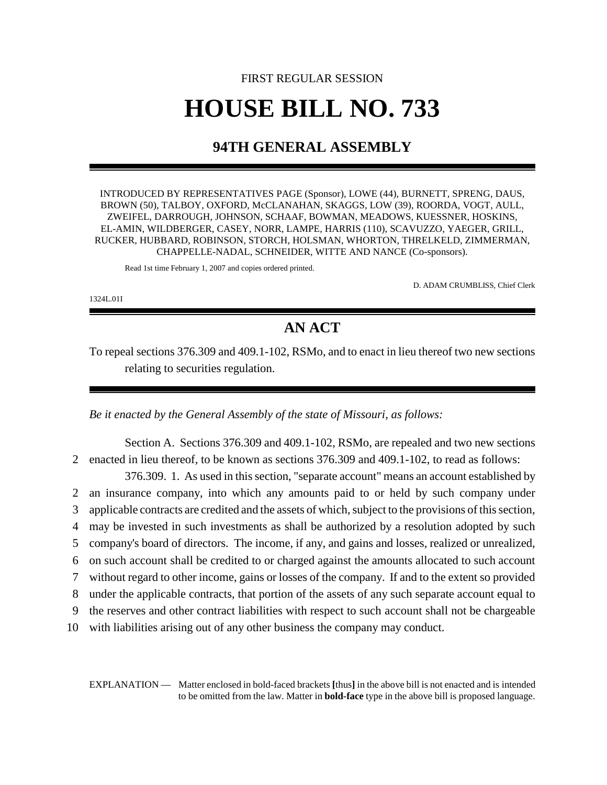# FIRST REGULAR SESSION **HOUSE BILL NO. 733**

## **94TH GENERAL ASSEMBLY**

INTRODUCED BY REPRESENTATIVES PAGE (Sponsor), LOWE (44), BURNETT, SPRENG, DAUS, BROWN (50), TALBOY, OXFORD, McCLANAHAN, SKAGGS, LOW (39), ROORDA, VOGT, AULL, ZWEIFEL, DARROUGH, JOHNSON, SCHAAF, BOWMAN, MEADOWS, KUESSNER, HOSKINS, EL-AMIN, WILDBERGER, CASEY, NORR, LAMPE, HARRIS (110), SCAVUZZO, YAEGER, GRILL, RUCKER, HUBBARD, ROBINSON, STORCH, HOLSMAN, WHORTON, THRELKELD, ZIMMERMAN, CHAPPELLE-NADAL, SCHNEIDER, WITTE AND NANCE (Co-sponsors).

Read 1st time February 1, 2007 and copies ordered printed.

D. ADAM CRUMBLISS, Chief Clerk

1324L.01I

### **AN ACT**

To repeal sections 376.309 and 409.1-102, RSMo, and to enact in lieu thereof two new sections relating to securities regulation.

*Be it enacted by the General Assembly of the state of Missouri, as follows:*

Section A. Sections 376.309 and 409.1-102, RSMo, are repealed and two new sections 2 enacted in lieu thereof, to be known as sections 376.309 and 409.1-102, to read as follows:

376.309. 1. As used in this section, "separate account" means an account established by an insurance company, into which any amounts paid to or held by such company under applicable contracts are credited and the assets of which, subject to the provisions of this section, may be invested in such investments as shall be authorized by a resolution adopted by such company's board of directors. The income, if any, and gains and losses, realized or unrealized, on such account shall be credited to or charged against the amounts allocated to such account without regard to other income, gains or losses of the company. If and to the extent so provided under the applicable contracts, that portion of the assets of any such separate account equal to the reserves and other contract liabilities with respect to such account shall not be chargeable with liabilities arising out of any other business the company may conduct.

EXPLANATION — Matter enclosed in bold-faced brackets **[**thus**]** in the above bill is not enacted and is intended to be omitted from the law. Matter in **bold-face** type in the above bill is proposed language.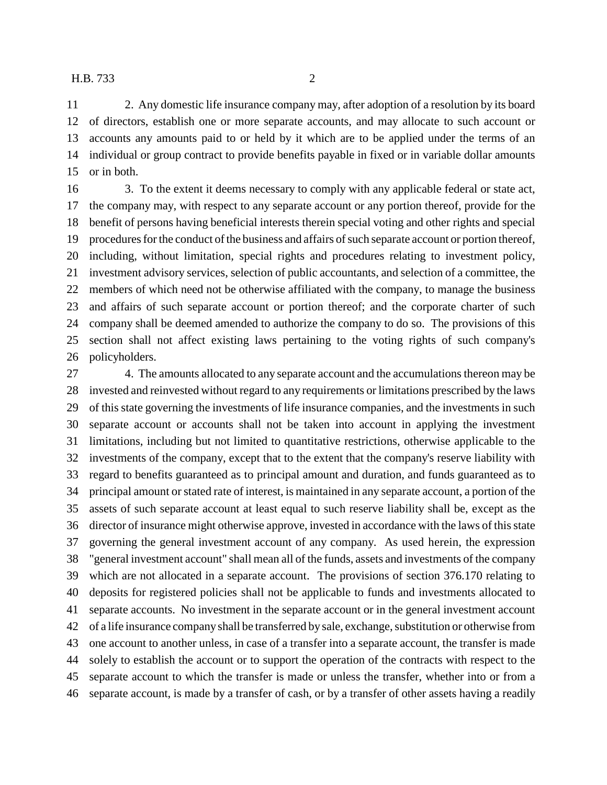2. Any domestic life insurance company may, after adoption of a resolution by its board of directors, establish one or more separate accounts, and may allocate to such account or accounts any amounts paid to or held by it which are to be applied under the terms of an individual or group contract to provide benefits payable in fixed or in variable dollar amounts or in both.

 3. To the extent it deems necessary to comply with any applicable federal or state act, the company may, with respect to any separate account or any portion thereof, provide for the benefit of persons having beneficial interests therein special voting and other rights and special procedures for the conduct of the business and affairs of such separate account or portion thereof, including, without limitation, special rights and procedures relating to investment policy, investment advisory services, selection of public accountants, and selection of a committee, the members of which need not be otherwise affiliated with the company, to manage the business and affairs of such separate account or portion thereof; and the corporate charter of such company shall be deemed amended to authorize the company to do so. The provisions of this section shall not affect existing laws pertaining to the voting rights of such company's policyholders.

 4. The amounts allocated to any separate account and the accumulations thereon may be invested and reinvested without regard to any requirements or limitations prescribed by the laws of this state governing the investments of life insurance companies, and the investments in such separate account or accounts shall not be taken into account in applying the investment limitations, including but not limited to quantitative restrictions, otherwise applicable to the investments of the company, except that to the extent that the company's reserve liability with regard to benefits guaranteed as to principal amount and duration, and funds guaranteed as to principal amount or stated rate of interest, is maintained in any separate account, a portion of the assets of such separate account at least equal to such reserve liability shall be, except as the director of insurance might otherwise approve, invested in accordance with the laws of this state governing the general investment account of any company. As used herein, the expression "general investment account" shall mean all of the funds, assets and investments of the company which are not allocated in a separate account. The provisions of section 376.170 relating to deposits for registered policies shall not be applicable to funds and investments allocated to separate accounts. No investment in the separate account or in the general investment account of a life insurance company shall be transferred by sale, exchange, substitution or otherwise from one account to another unless, in case of a transfer into a separate account, the transfer is made solely to establish the account or to support the operation of the contracts with respect to the separate account to which the transfer is made or unless the transfer, whether into or from a separate account, is made by a transfer of cash, or by a transfer of other assets having a readily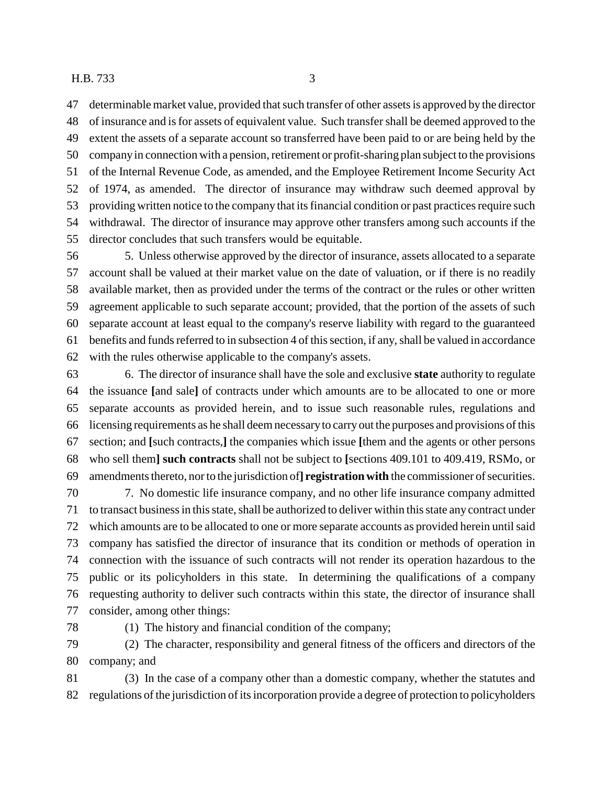determinable market value, provided that such transfer of other assets is approved by the director of insurance and is for assets of equivalent value. Such transfer shall be deemed approved to the extent the assets of a separate account so transferred have been paid to or are being held by the company in connection with a pension, retirement or profit-sharing plan subject to the provisions of the Internal Revenue Code, as amended, and the Employee Retirement Income Security Act of 1974, as amended. The director of insurance may withdraw such deemed approval by providing written notice to the company that its financial condition or past practices require such withdrawal. The director of insurance may approve other transfers among such accounts if the director concludes that such transfers would be equitable.

 5. Unless otherwise approved by the director of insurance, assets allocated to a separate account shall be valued at their market value on the date of valuation, or if there is no readily available market, then as provided under the terms of the contract or the rules or other written agreement applicable to such separate account; provided, that the portion of the assets of such separate account at least equal to the company's reserve liability with regard to the guaranteed benefits and funds referred to in subsection 4 of this section, if any, shall be valued in accordance with the rules otherwise applicable to the company's assets.

 6. The director of insurance shall have the sole and exclusive **state** authority to regulate the issuance **[**and sale**]** of contracts under which amounts are to be allocated to one or more separate accounts as provided herein, and to issue such reasonable rules, regulations and licensing requirements as he shall deem necessary to carry out the purposes and provisions of this section; and **[**such contracts,**]** the companies which issue **[**them and the agents or other persons who sell them**] such contracts** shall not be subject to **[**sections 409.101 to 409.419, RSMo, or amendments thereto, nor to the jurisdiction of**] registration with** the commissioner of securities.

 7. No domestic life insurance company, and no other life insurance company admitted to transact business in this state, shall be authorized to deliver within this state any contract under which amounts are to be allocated to one or more separate accounts as provided herein until said company has satisfied the director of insurance that its condition or methods of operation in connection with the issuance of such contracts will not render its operation hazardous to the public or its policyholders in this state. In determining the qualifications of a company requesting authority to deliver such contracts within this state, the director of insurance shall consider, among other things:

(1) The history and financial condition of the company;

 (2) The character, responsibility and general fitness of the officers and directors of the company; and

 (3) In the case of a company other than a domestic company, whether the statutes and regulations of the jurisdiction of its incorporation provide a degree of protection to policyholders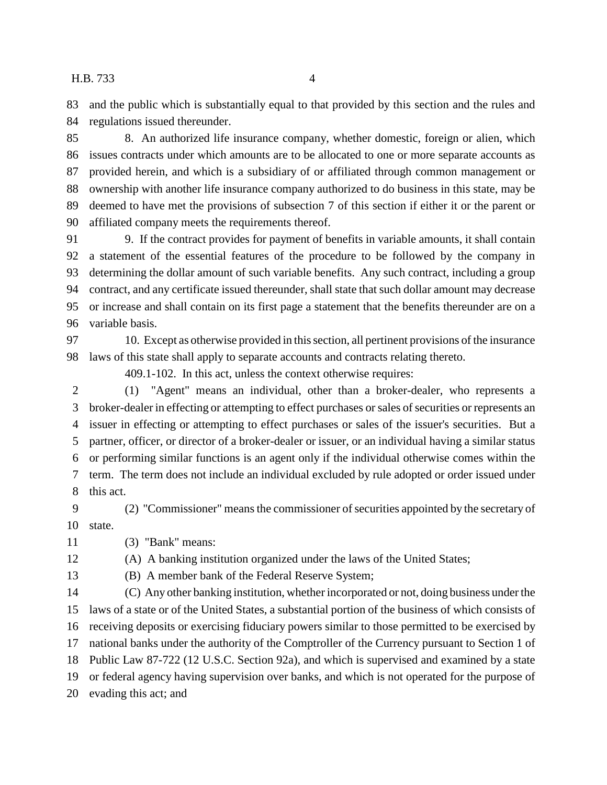and the public which is substantially equal to that provided by this section and the rules and regulations issued thereunder.

 8. An authorized life insurance company, whether domestic, foreign or alien, which issues contracts under which amounts are to be allocated to one or more separate accounts as provided herein, and which is a subsidiary of or affiliated through common management or ownership with another life insurance company authorized to do business in this state, may be deemed to have met the provisions of subsection 7 of this section if either it or the parent or affiliated company meets the requirements thereof.

 9. If the contract provides for payment of benefits in variable amounts, it shall contain a statement of the essential features of the procedure to be followed by the company in determining the dollar amount of such variable benefits. Any such contract, including a group contract, and any certificate issued thereunder, shall state that such dollar amount may decrease or increase and shall contain on its first page a statement that the benefits thereunder are on a variable basis.

 10. Except as otherwise provided in this section, all pertinent provisions of the insurance laws of this state shall apply to separate accounts and contracts relating thereto.

409.1-102. In this act, unless the context otherwise requires:

 (1) "Agent" means an individual, other than a broker-dealer, who represents a broker-dealer in effecting or attempting to effect purchases or sales of securities or represents an issuer in effecting or attempting to effect purchases or sales of the issuer's securities. But a partner, officer, or director of a broker-dealer or issuer, or an individual having a similar status or performing similar functions is an agent only if the individual otherwise comes within the term. The term does not include an individual excluded by rule adopted or order issued under this act.

 (2) "Commissioner" means the commissioner of securities appointed by the secretary of state.

(3) "Bank" means:

(A) A banking institution organized under the laws of the United States;

(B) A member bank of the Federal Reserve System;

 (C) Any other banking institution, whether incorporated or not, doing business under the laws of a state or of the United States, a substantial portion of the business of which consists of receiving deposits or exercising fiduciary powers similar to those permitted to be exercised by national banks under the authority of the Comptroller of the Currency pursuant to Section 1 of Public Law 87-722 (12 U.S.C. Section 92a), and which is supervised and examined by a state or federal agency having supervision over banks, and which is not operated for the purpose of evading this act; and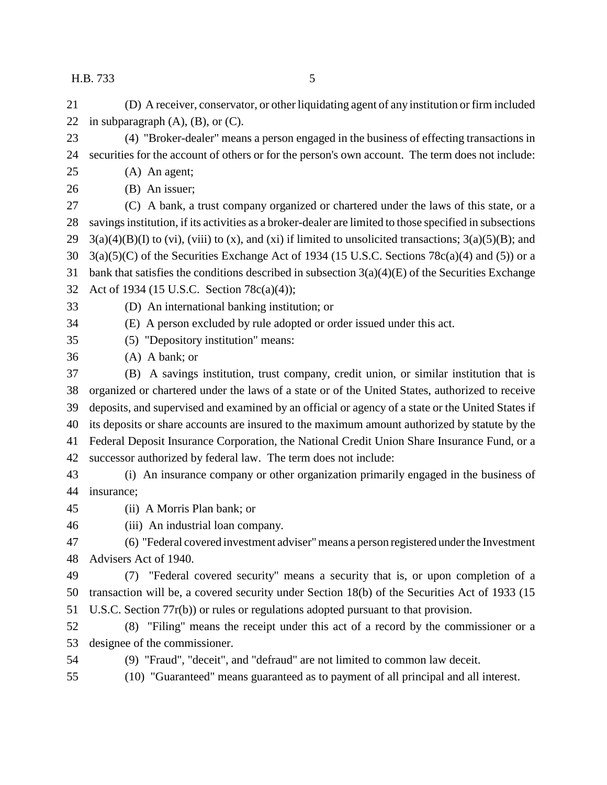(D) A receiver, conservator, or other liquidating agent of any institution or firm included 22 in subparagraph  $(A)$ ,  $(B)$ , or  $(C)$ .

- (4) "Broker-dealer" means a person engaged in the business of effecting transactions in securities for the account of others or for the person's own account. The term does not include:
- (A) An agent;
- (B) An issuer;
- (C) A bank, a trust company organized or chartered under the laws of this state, or a savings institution, if its activities as a broker-dealer are limited to those specified in subsections 29 3(a)(4)(B)(I) to (vi), (viii) to (x), and (xi) if limited to unsolicited transactions;  $3(a)(5)(B)$ ; and 3(a)(5)(C) of the Securities Exchange Act of 1934 (15 U.S.C. Sections 78c(a)(4) and (5)) or a 31 bank that satisfies the conditions described in subsection  $3(a)(4)(E)$  of the Securities Exchange
- Act of 1934 (15 U.S.C. Section 78c(a)(4));

(D) An international banking institution; or

- (E) A person excluded by rule adopted or order issued under this act.
- 
- (5) "Depository institution" means:
- (A) A bank; or
- (B) A savings institution, trust company, credit union, or similar institution that is organized or chartered under the laws of a state or of the United States, authorized to receive deposits, and supervised and examined by an official or agency of a state or the United States if its deposits or share accounts are insured to the maximum amount authorized by statute by the Federal Deposit Insurance Corporation, the National Credit Union Share Insurance Fund, or a successor authorized by federal law. The term does not include:
- (i) An insurance company or other organization primarily engaged in the business of insurance;
- (ii) A Morris Plan bank; or
- (iii) An industrial loan company.
- (6) "Federal covered investment adviser" means a person registered under the Investment Advisers Act of 1940.
- (7) "Federal covered security" means a security that is, or upon completion of a transaction will be, a covered security under Section 18(b) of the Securities Act of 1933 (15 U.S.C. Section 77r(b)) or rules or regulations adopted pursuant to that provision.
- (8) "Filing" means the receipt under this act of a record by the commissioner or a designee of the commissioner.
- (9) "Fraud", "deceit", and "defraud" are not limited to common law deceit.
- (10) "Guaranteed" means guaranteed as to payment of all principal and all interest.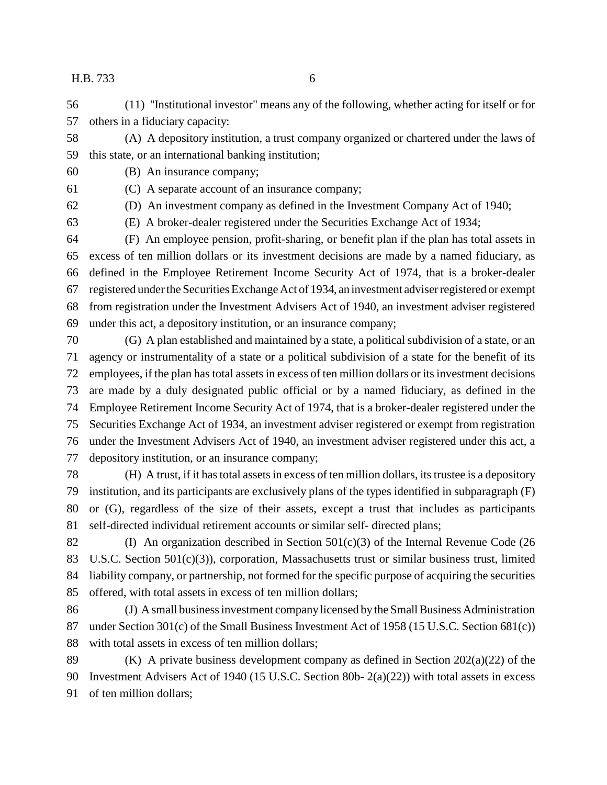(11) "Institutional investor" means any of the following, whether acting for itself or for others in a fiduciary capacity:

 (A) A depository institution, a trust company organized or chartered under the laws of this state, or an international banking institution;

(B) An insurance company;

(C) A separate account of an insurance company;

(D) An investment company as defined in the Investment Company Act of 1940;

(E) A broker-dealer registered under the Securities Exchange Act of 1934;

 (F) An employee pension, profit-sharing, or benefit plan if the plan has total assets in excess of ten million dollars or its investment decisions are made by a named fiduciary, as defined in the Employee Retirement Income Security Act of 1974, that is a broker-dealer registered under the Securities Exchange Act of 1934, an investment adviser registered or exempt from registration under the Investment Advisers Act of 1940, an investment adviser registered under this act, a depository institution, or an insurance company;

 (G) A plan established and maintained by a state, a political subdivision of a state, or an agency or instrumentality of a state or a political subdivision of a state for the benefit of its employees, if the plan has total assets in excess of ten million dollars or its investment decisions are made by a duly designated public official or by a named fiduciary, as defined in the Employee Retirement Income Security Act of 1974, that is a broker-dealer registered under the Securities Exchange Act of 1934, an investment adviser registered or exempt from registration under the Investment Advisers Act of 1940, an investment adviser registered under this act, a depository institution, or an insurance company;

 (H) A trust, if it has total assets in excess of ten million dollars, its trustee is a depository institution, and its participants are exclusively plans of the types identified in subparagraph (F) or (G), regardless of the size of their assets, except a trust that includes as participants self-directed individual retirement accounts or similar self- directed plans;

82 (I) An organization described in Section  $501(c)(3)$  of the Internal Revenue Code (26 U.S.C. Section 501(c)(3)), corporation, Massachusetts trust or similar business trust, limited liability company, or partnership, not formed for the specific purpose of acquiring the securities offered, with total assets in excess of ten million dollars;

 (J) A small business investment company licensed by the Small Business Administration under Section 301(c) of the Small Business Investment Act of 1958 (15 U.S.C. Section 681(c)) with total assets in excess of ten million dollars;

89 (K) A private business development company as defined in Section  $202(a)(22)$  of the Investment Advisers Act of 1940 (15 U.S.C. Section 80b- 2(a)(22)) with total assets in excess of ten million dollars;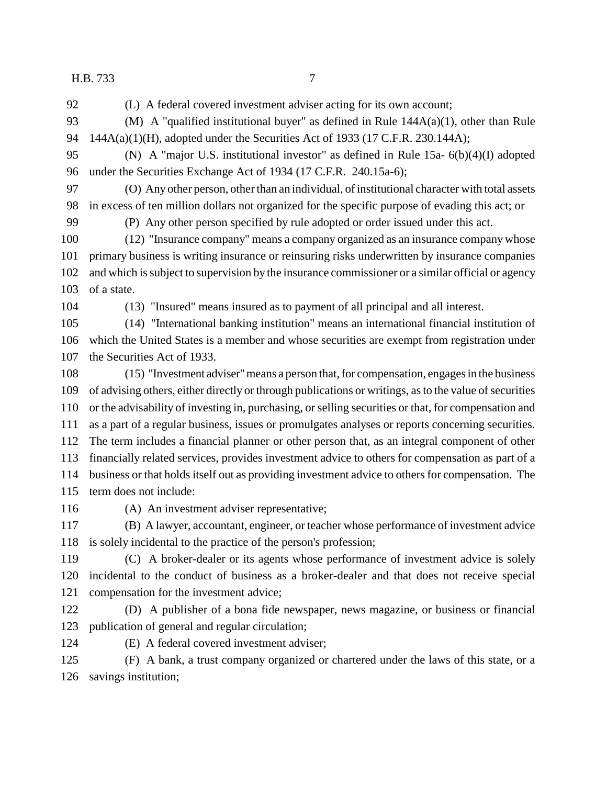(L) A federal covered investment adviser acting for its own account;

 (M) A "qualified institutional buyer" as defined in Rule 144A(a)(1), other than Rule 144A(a)(1)(H), adopted under the Securities Act of 1933 (17 C.F.R. 230.144A);

 (N) A "major U.S. institutional investor" as defined in Rule 15a- 6(b)(4)(I) adopted under the Securities Exchange Act of 1934 (17 C.F.R. 240.15a-6);

 (O) Any other person, other than an individual, of institutional character with total assets in excess of ten million dollars not organized for the specific purpose of evading this act; or

(P) Any other person specified by rule adopted or order issued under this act.

 (12) "Insurance company" means a company organized as an insurance company whose primary business is writing insurance or reinsuring risks underwritten by insurance companies and which is subject to supervision by the insurance commissioner or a similar official or agency of a state.

(13) "Insured" means insured as to payment of all principal and all interest.

 (14) "International banking institution" means an international financial institution of which the United States is a member and whose securities are exempt from registration under the Securities Act of 1933.

- (15) "Investment adviser" means a person that, for compensation, engages in the business of advising others, either directly or through publications or writings, as to the value of securities or the advisability of investing in, purchasing, or selling securities or that, for compensation and as a part of a regular business, issues or promulgates analyses or reports concerning securities. The term includes a financial planner or other person that, as an integral component of other financially related services, provides investment advice to others for compensation as part of a business or that holds itself out as providing investment advice to others for compensation. The term does not include:
- 

(A) An investment adviser representative;

 (B) A lawyer, accountant, engineer, or teacher whose performance of investment advice is solely incidental to the practice of the person's profession;

 (C) A broker-dealer or its agents whose performance of investment advice is solely incidental to the conduct of business as a broker-dealer and that does not receive special compensation for the investment advice;

 (D) A publisher of a bona fide newspaper, news magazine, or business or financial publication of general and regular circulation;

(E) A federal covered investment adviser;

 (F) A bank, a trust company organized or chartered under the laws of this state, or a savings institution;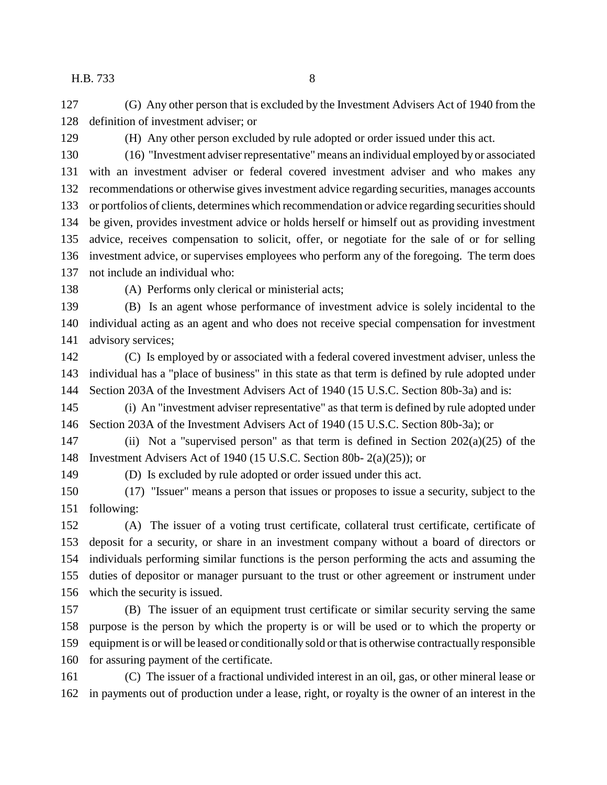(G) Any other person that is excluded by the Investment Advisers Act of 1940 from the definition of investment adviser; or

(H) Any other person excluded by rule adopted or order issued under this act.

 (16) "Investment adviser representative" means an individual employed by or associated with an investment adviser or federal covered investment adviser and who makes any recommendations or otherwise gives investment advice regarding securities, manages accounts or portfolios of clients, determines which recommendation or advice regarding securities should be given, provides investment advice or holds herself or himself out as providing investment advice, receives compensation to solicit, offer, or negotiate for the sale of or for selling investment advice, or supervises employees who perform any of the foregoing. The term does not include an individual who:

(A) Performs only clerical or ministerial acts;

 (B) Is an agent whose performance of investment advice is solely incidental to the individual acting as an agent and who does not receive special compensation for investment advisory services;

 (C) Is employed by or associated with a federal covered investment adviser, unless the individual has a "place of business" in this state as that term is defined by rule adopted under Section 203A of the Investment Advisers Act of 1940 (15 U.S.C. Section 80b-3a) and is:

 (i) An "investment adviser representative" as that term is defined by rule adopted under Section 203A of the Investment Advisers Act of 1940 (15 U.S.C. Section 80b-3a); or

 (ii) Not a "supervised person" as that term is defined in Section 202(a)(25) of the Investment Advisers Act of 1940 (15 U.S.C. Section 80b- 2(a)(25)); or

(D) Is excluded by rule adopted or order issued under this act.

 (17) "Issuer" means a person that issues or proposes to issue a security, subject to the following:

 (A) The issuer of a voting trust certificate, collateral trust certificate, certificate of deposit for a security, or share in an investment company without a board of directors or individuals performing similar functions is the person performing the acts and assuming the duties of depositor or manager pursuant to the trust or other agreement or instrument under which the security is issued.

 (B) The issuer of an equipment trust certificate or similar security serving the same purpose is the person by which the property is or will be used or to which the property or equipment is or will be leased or conditionally sold or that is otherwise contractually responsible for assuring payment of the certificate.

 (C) The issuer of a fractional undivided interest in an oil, gas, or other mineral lease or in payments out of production under a lease, right, or royalty is the owner of an interest in the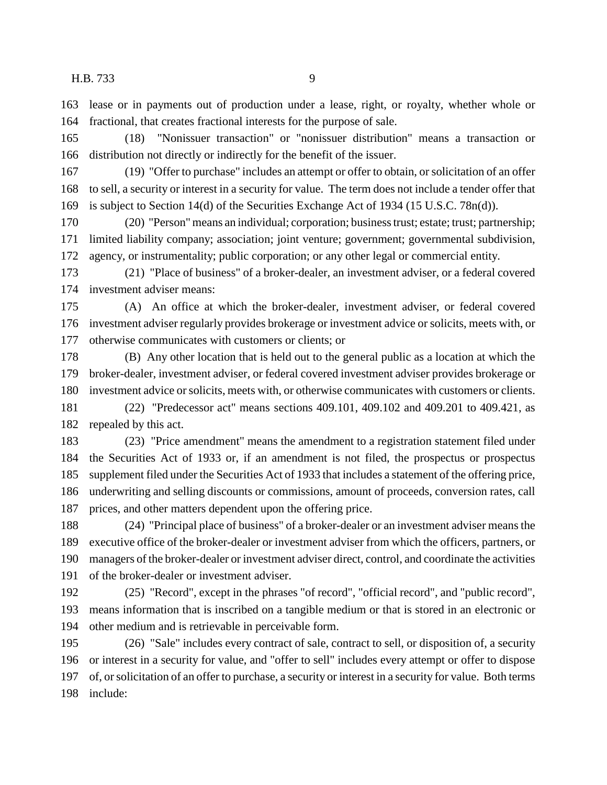lease or in payments out of production under a lease, right, or royalty, whether whole or fractional, that creates fractional interests for the purpose of sale.

 (18) "Nonissuer transaction" or "nonissuer distribution" means a transaction or distribution not directly or indirectly for the benefit of the issuer.

 (19) "Offer to purchase" includes an attempt or offer to obtain, or solicitation of an offer to sell, a security or interest in a security for value. The term does not include a tender offer that is subject to Section 14(d) of the Securities Exchange Act of 1934 (15 U.S.C. 78n(d)).

 (20) "Person" means an individual; corporation; business trust; estate; trust; partnership; limited liability company; association; joint venture; government; governmental subdivision, agency, or instrumentality; public corporation; or any other legal or commercial entity.

 (21) "Place of business" of a broker-dealer, an investment adviser, or a federal covered investment adviser means:

 (A) An office at which the broker-dealer, investment adviser, or federal covered investment adviser regularly provides brokerage or investment advice or solicits, meets with, or otherwise communicates with customers or clients; or

 (B) Any other location that is held out to the general public as a location at which the broker-dealer, investment adviser, or federal covered investment adviser provides brokerage or investment advice or solicits, meets with, or otherwise communicates with customers or clients.

 (22) "Predecessor act" means sections 409.101, 409.102 and 409.201 to 409.421, as repealed by this act.

 (23) "Price amendment" means the amendment to a registration statement filed under the Securities Act of 1933 or, if an amendment is not filed, the prospectus or prospectus supplement filed under the Securities Act of 1933 that includes a statement of the offering price, underwriting and selling discounts or commissions, amount of proceeds, conversion rates, call prices, and other matters dependent upon the offering price.

 (24) "Principal place of business" of a broker-dealer or an investment adviser means the executive office of the broker-dealer or investment adviser from which the officers, partners, or managers of the broker-dealer or investment adviser direct, control, and coordinate the activities of the broker-dealer or investment adviser.

 (25) "Record", except in the phrases "of record", "official record", and "public record", means information that is inscribed on a tangible medium or that is stored in an electronic or other medium and is retrievable in perceivable form.

 (26) "Sale" includes every contract of sale, contract to sell, or disposition of, a security or interest in a security for value, and "offer to sell" includes every attempt or offer to dispose of, or solicitation of an offer to purchase, a security or interest in a security for value. Both terms include: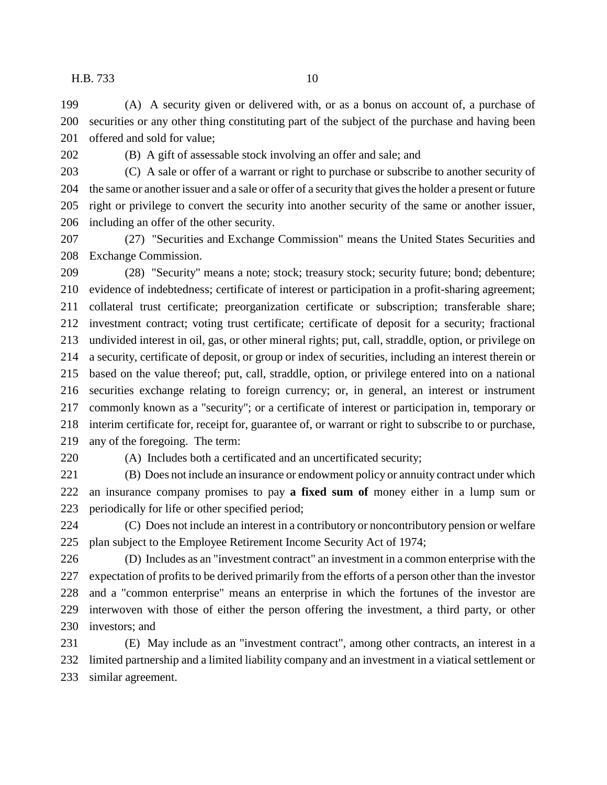(A) A security given or delivered with, or as a bonus on account of, a purchase of securities or any other thing constituting part of the subject of the purchase and having been offered and sold for value;

(B) A gift of assessable stock involving an offer and sale; and

 (C) A sale or offer of a warrant or right to purchase or subscribe to another security of the same or another issuer and a sale or offer of a security that gives the holder a present or future right or privilege to convert the security into another security of the same or another issuer, including an offer of the other security.

 (27) "Securities and Exchange Commission" means the United States Securities and Exchange Commission.

 (28) "Security" means a note; stock; treasury stock; security future; bond; debenture; evidence of indebtedness; certificate of interest or participation in a profit-sharing agreement; collateral trust certificate; preorganization certificate or subscription; transferable share; investment contract; voting trust certificate; certificate of deposit for a security; fractional undivided interest in oil, gas, or other mineral rights; put, call, straddle, option, or privilege on a security, certificate of deposit, or group or index of securities, including an interest therein or based on the value thereof; put, call, straddle, option, or privilege entered into on a national securities exchange relating to foreign currency; or, in general, an interest or instrument commonly known as a "security"; or a certificate of interest or participation in, temporary or interim certificate for, receipt for, guarantee of, or warrant or right to subscribe to or purchase, any of the foregoing. The term:

(A) Includes both a certificated and an uncertificated security;

 (B) Does not include an insurance or endowment policy or annuity contract under which an insurance company promises to pay **a fixed sum of** money either in a lump sum or periodically for life or other specified period;

 (C) Does not include an interest in a contributory or noncontributory pension or welfare plan subject to the Employee Retirement Income Security Act of 1974;

 (D) Includes as an "investment contract" an investment in a common enterprise with the expectation of profits to be derived primarily from the efforts of a person other than the investor and a "common enterprise" means an enterprise in which the fortunes of the investor are interwoven with those of either the person offering the investment, a third party, or other investors; and

 (E) May include as an "investment contract", among other contracts, an interest in a limited partnership and a limited liability company and an investment in a viatical settlement or similar agreement.